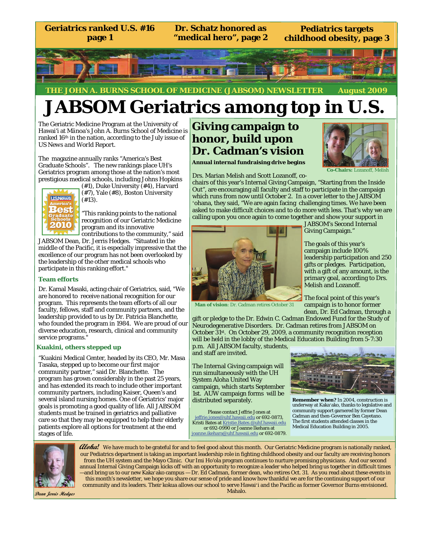